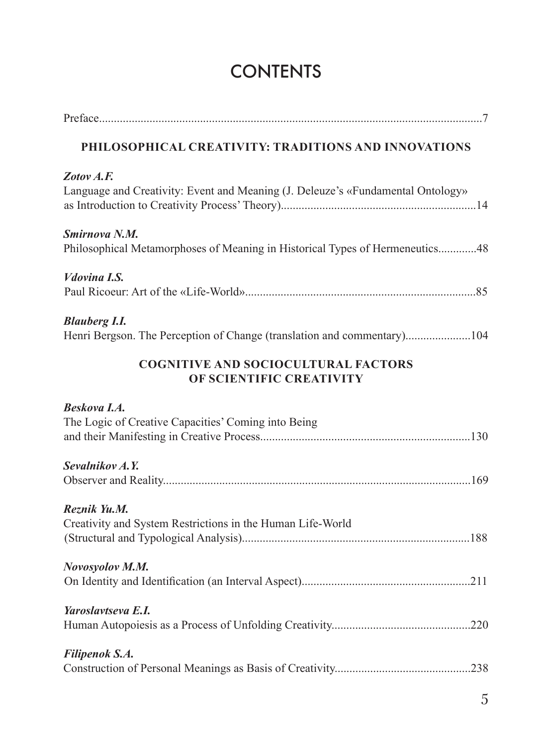## **CONTENTS**

| PHILOSOPHICAL CREATIVITY: TRADITIONS AND INNOVATIONS                                            |
|-------------------------------------------------------------------------------------------------|
| Zotov A.F.<br>Language and Creativity: Event and Meaning (J. Deleuze's «Fundamental Ontology»   |
| Smirnova N.M.<br>Philosophical Metamorphoses of Meaning in Historical Types of Hermeneutics48   |
| Vdovina I.S.                                                                                    |
| <b>Blauberg I.I.</b><br>Henri Bergson. The Perception of Change (translation and commentary)104 |
| <b>COGNITIVE AND SOCIOCULTURAL FACTORS</b><br>OF SCIENTIFIC CREATIVITY                          |
| <b>Beskova I.A.</b><br>The Logic of Creative Capacities' Coming into Being                      |
| Sevalnikov A.Y.                                                                                 |
| Reznik Yu.M.<br>Creativity and System Restrictions in the Human Life-World                      |
| Novosyolov M.M.                                                                                 |
| Yaroslavtseva E.I.                                                                              |
| Filipenok S.A.                                                                                  |